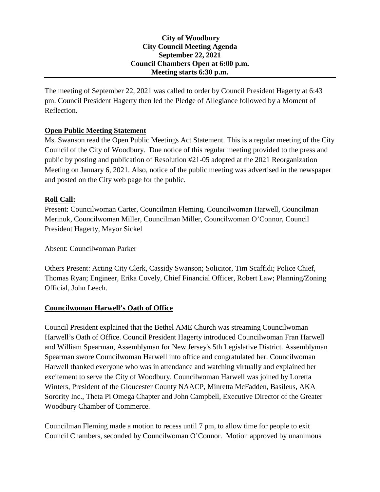## **City of Woodbury City Council Meeting Agenda September 22, 2021 Council Chambers Open at 6:00 p.m. Meeting starts 6:30 p.m.**

The meeting of September 22, 2021 was called to order by Council President Hagerty at 6:43 pm. Council President Hagerty then led the Pledge of Allegiance followed by a Moment of Reflection.

# **Open Public Meeting Statement**

Ms. Swanson read the Open Public Meetings Act Statement. This is a regular meeting of the City Council of the City of Woodbury. Due notice of this regular meeting provided to the press and public by posting and publication of Resolution #21-05 adopted at the 2021 Reorganization Meeting on January 6, 2021. Also, notice of the public meeting was advertised in the newspaper and posted on the City web page for the public.

# **Roll Call:**

Present: Councilwoman Carter, Councilman Fleming, Councilwoman Harwell, Councilman Merinuk, Councilwoman Miller, Councilman Miller, Councilwoman O'Connor, Council President Hagerty, Mayor Sickel

Absent: Councilwoman Parker

Others Present: Acting City Clerk, Cassidy Swanson; Solicitor, Tim Scaffidi; Police Chief, Thomas Ryan; Engineer, Erika Covely, Chief Financial Officer, Robert Law; Planning/Zoning Official, John Leech.

## **Councilwoman Harwell's Oath of Office**

Council President explained that the Bethel AME Church was streaming Councilwoman Harwell's Oath of Office. Council President Hagerty introduced Councilwoman Fran Harwell and William Spearman, Assemblyman for New Jersey's 5th Legislative District. Assemblyman Spearman swore Councilwoman Harwell into office and congratulated her. Councilwoman Harwell thanked everyone who was in attendance and watching virtually and explained her excitement to serve the City of Woodbury. Councilwoman Harwell was joined by Loretta Winters, President of the Gloucester County NAACP, Minretta McFadden, Basileus, AKA Sorority Inc., Theta Pi Omega Chapter and John Campbell, Executive Director of the Greater Woodbury Chamber of Commerce.

Councilman Fleming made a motion to recess until 7 pm, to allow time for people to exit Council Chambers, seconded by Councilwoman O'Connor. Motion approved by unanimous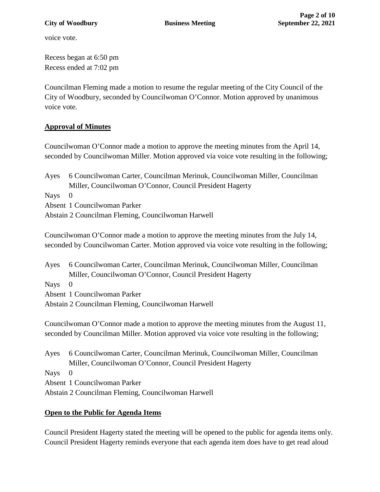voice vote.

Recess began at 6:50 pm Recess ended at 7:02 pm

Councilman Fleming made a motion to resume the regular meeting of the City Council of the City of Woodbury, seconded by Councilwoman O'Connor. Motion approved by unanimous voice vote.

# **Approval of Minutes**

Councilwoman O'Connor made a motion to approve the meeting minutes from the April 14, seconded by Councilwoman Miller. Motion approved via voice vote resulting in the following;

Ayes 6 Councilwoman Carter, Councilman Merinuk, Councilwoman Miller, Councilman Miller, Councilwoman O'Connor, Council President Hagerty Nays 0 Absent 1 Councilwoman Parker Abstain 2 Councilman Fleming, Councilwoman Harwell

Councilwoman O'Connor made a motion to approve the meeting minutes from the July 14, seconded by Councilwoman Carter. Motion approved via voice vote resulting in the following;

Ayes 6 Councilwoman Carter, Councilman Merinuk, Councilwoman Miller, Councilman Miller, Councilwoman O'Connor, Council President Hagerty

Nays 0

Absent 1 Councilwoman Parker

Abstain 2 Councilman Fleming, Councilwoman Harwell

Councilwoman O'Connor made a motion to approve the meeting minutes from the August 11, seconded by Councilman Miller. Motion approved via voice vote resulting in the following;

Ayes 6 Councilwoman Carter, Councilman Merinuk, Councilwoman Miller, Councilman Miller, Councilwoman O'Connor, Council President Hagerty Nays 0 Absent 1 Councilwoman Parker Abstain 2 Councilman Fleming, Councilwoman Harwell

## **Open to the Public for Agenda Items**

Council President Hagerty stated the meeting will be opened to the public for agenda items only. Council President Hagerty reminds everyone that each agenda item does have to get read aloud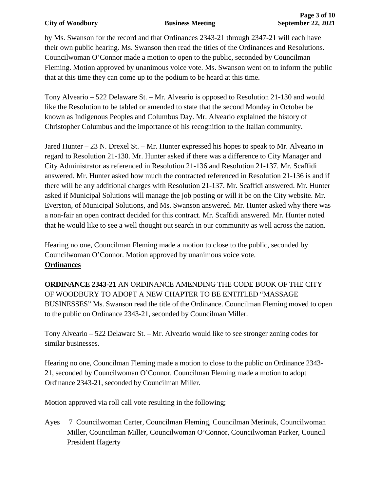### **City of Woodbury Business Meeting September 22, 2021**

by Ms. Swanson for the record and that Ordinances 2343-21 through 2347-21 will each have their own public hearing. Ms. Swanson then read the titles of the Ordinances and Resolutions. Councilwoman O'Connor made a motion to open to the public, seconded by Councilman Fleming. Motion approved by unanimous voice vote. Ms. Swanson went on to inform the public that at this time they can come up to the podium to be heard at this time.

Tony Alveario – 522 Delaware St. – Mr. Alveario is opposed to Resolution 21-130 and would like the Resolution to be tabled or amended to state that the second Monday in October be known as Indigenous Peoples and Columbus Day. Mr. Alveario explained the history of Christopher Columbus and the importance of his recognition to the Italian community.

Jared Hunter – 23 N. Drexel St. – Mr. Hunter expressed his hopes to speak to Mr. Alveario in regard to Resolution 21-130. Mr. Hunter asked if there was a difference to City Manager and City Administrator as referenced in Resolution 21-136 and Resolution 21-137. Mr. Scaffidi answered. Mr. Hunter asked how much the contracted referenced in Resolution 21-136 is and if there will be any additional charges with Resolution 21-137. Mr. Scaffidi answered. Mr. Hunter asked if Municipal Solutions will manage the job posting or will it be on the City website. Mr. Everston, of Municipal Solutions, and Ms. Swanson answered. Mr. Hunter asked why there was a non-fair an open contract decided for this contract. Mr. Scaffidi answered. Mr. Hunter noted that he would like to see a well thought out search in our community as well across the nation.

Hearing no one, Councilman Fleming made a motion to close to the public, seconded by Councilwoman O'Connor. Motion approved by unanimous voice vote. **Ordinances**

**ORDINANCE 2343-21** AN ORDINANCE AMENDING THE CODE BOOK OF THE CITY OF WOODBURY TO ADOPT A NEW CHAPTER TO BE ENTITLED "MASSAGE BUSINESSES" Ms. Swanson read the title of the Ordinance. Councilman Fleming moved to open to the public on Ordinance 2343-21, seconded by Councilman Miller.

Tony Alveario – 522 Delaware St. – Mr. Alveario would like to see stronger zoning codes for similar businesses.

Hearing no one, Councilman Fleming made a motion to close to the public on Ordinance 2343- 21, seconded by Councilwoman O'Connor. Councilman Fleming made a motion to adopt Ordinance 2343-21, seconded by Councilman Miller.

Motion approved via roll call vote resulting in the following;

Ayes 7 Councilwoman Carter, Councilman Fleming, Councilman Merinuk, Councilwoman Miller, Councilman Miller, Councilwoman O'Connor, Councilwoman Parker, Council President Hagerty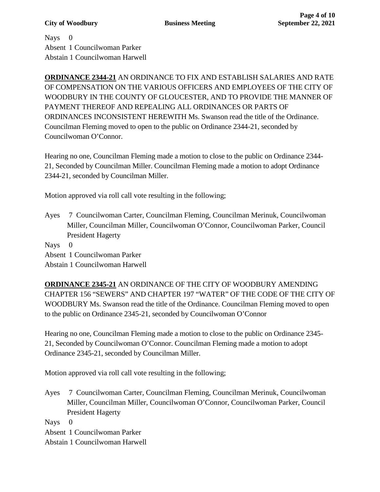Nays 0 Absent 1 Councilwoman Parker Abstain 1 Councilwoman Harwell

**ORDINANCE 2344-21** AN ORDINANCE TO FIX AND ESTABLISH SALARIES AND RATE OF COMPENSATION ON THE VARIOUS OFFICERS AND EMPLOYEES OF THE CITY OF WOODBURY IN THE COUNTY OF GLOUCESTER, AND TO PROVIDE THE MANNER OF PAYMENT THEREOF AND REPEALING ALL ORDINANCES OR PARTS OF ORDINANCES INCONSISTENT HEREWITH Ms. Swanson read the title of the Ordinance. Councilman Fleming moved to open to the public on Ordinance 2344-21, seconded by Councilwoman O'Connor.

Hearing no one, Councilman Fleming made a motion to close to the public on Ordinance 2344- 21, Seconded by Councilman Miller. Councilman Fleming made a motion to adopt Ordinance 2344-21, seconded by Councilman Miller.

Motion approved via roll call vote resulting in the following;

Ayes 7 Councilwoman Carter, Councilman Fleming, Councilman Merinuk, Councilwoman Miller, Councilman Miller, Councilwoman O'Connor, Councilwoman Parker, Council President Hagerty

Nays 0

Absent 1 Councilwoman Parker Abstain 1 Councilwoman Harwell

**ORDINANCE 2345-21** AN ORDINANCE OF THE CITY OF WOODBURY AMENDING CHAPTER 156 "SEWERS" AND CHAPTER 197 "WATER" OF THE CODE OF THE CITY OF WOODBURY Ms. Swanson read the title of the Ordinance. Councilman Fleming moved to open to the public on Ordinance 2345-21, seconded by Councilwoman O'Connor

Hearing no one, Councilman Fleming made a motion to close to the public on Ordinance 2345- 21, Seconded by Councilwoman O'Connor. Councilman Fleming made a motion to adopt Ordinance 2345-21, seconded by Councilman Miller.

Motion approved via roll call vote resulting in the following;

Ayes 7 Councilwoman Carter, Councilman Fleming, Councilman Merinuk, Councilwoman Miller, Councilman Miller, Councilwoman O'Connor, Councilwoman Parker, Council President Hagerty

Nays 0

Absent 1 Councilwoman Parker

Abstain 1 Councilwoman Harwell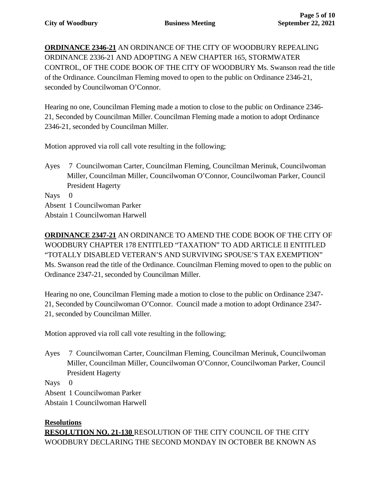**ORDINANCE 2346-21** AN ORDINANCE OF THE CITY OF WOODBURY REPEALING ORDINANCE 2336-21 AND ADOPTING A NEW CHAPTER 165, STORMWATER CONTROL, OF THE CODE BOOK OF THE CITY OF WOODBURY Ms. Swanson read the title of the Ordinance. Councilman Fleming moved to open to the public on Ordinance 2346-21, seconded by Councilwoman O'Connor.

Hearing no one, Councilman Fleming made a motion to close to the public on Ordinance 2346- 21, Seconded by Councilman Miller. Councilman Fleming made a motion to adopt Ordinance 2346-21, seconded by Councilman Miller.

Motion approved via roll call vote resulting in the following;

Ayes 7 Councilwoman Carter, Councilman Fleming, Councilman Merinuk, Councilwoman Miller, Councilman Miller, Councilwoman O'Connor, Councilwoman Parker, Council President Hagerty

Nays 0 Absent 1 Councilwoman Parker Abstain 1 Councilwoman Harwell

**ORDINANCE 2347-21** AN ORDINANCE TO AMEND THE CODE BOOK OF THE CITY OF WOODBURY CHAPTER 178 ENTITLED "TAXATION" TO ADD ARTICLE II ENTITLED "TOTALLY DISABLED VETERAN'S AND SURVIVING SPOUSE'S TAX EXEMPTION" Ms. Swanson read the title of the Ordinance. Councilman Fleming moved to open to the public on Ordinance 2347-21, seconded by Councilman Miller.

Hearing no one, Councilman Fleming made a motion to close to the public on Ordinance 2347- 21, Seconded by Councilwoman O'Connor. Council made a motion to adopt Ordinance 2347- 21, seconded by Councilman Miller.

Motion approved via roll call vote resulting in the following;

Ayes 7 Councilwoman Carter, Councilman Fleming, Councilman Merinuk, Councilwoman Miller, Councilman Miller, Councilwoman O'Connor, Councilwoman Parker, Council President Hagerty

Nays 0

Absent 1 Councilwoman Parker

Abstain 1 Councilwoman Harwell

## **Resolutions**

**RESOLUTION NO. 21-130** RESOLUTION OF THE CITY COUNCIL OF THE CITY WOODBURY DECLARING THE SECOND MONDAY IN OCTOBER BE KNOWN AS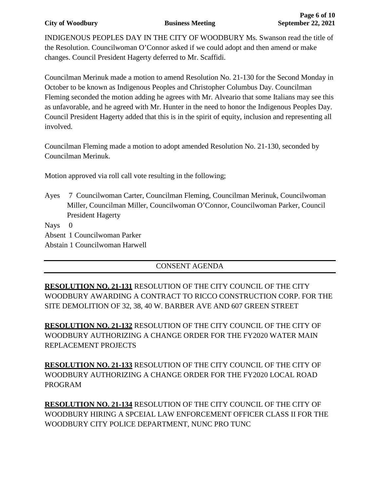### **City of Woodbury Business Meeting September 22, 2021**

INDIGENOUS PEOPLES DAY IN THE CITY OF WOODBURY Ms. Swanson read the title of the Resolution. Councilwoman O'Connor asked if we could adopt and then amend or make changes. Council President Hagerty deferred to Mr. Scaffidi.

Councilman Merinuk made a motion to amend Resolution No. 21-130 for the Second Monday in October to be known as Indigenous Peoples and Christopher Columbus Day. Councilman Fleming seconded the motion adding he agrees with Mr. Alveario that some Italians may see this as unfavorable, and he agreed with Mr. Hunter in the need to honor the Indigenous Peoples Day. Council President Hagerty added that this is in the spirit of equity, inclusion and representing all involved.

Councilman Fleming made a motion to adopt amended Resolution No. 21-130, seconded by Councilman Merinuk.

Motion approved via roll call vote resulting in the following;

Ayes 7 Councilwoman Carter, Councilman Fleming, Councilman Merinuk, Councilwoman Miller, Councilman Miller, Councilwoman O'Connor, Councilwoman Parker, Council President Hagerty

Nays 0

Absent 1 Councilwoman Parker

Abstain 1 Councilwoman Harwell

# CONSENT AGENDA

**RESOLUTION NO. 21-131** RESOLUTION OF THE CITY COUNCIL OF THE CITY WOODBURY AWARDING A CONTRACT TO RICCO CONSTRUCTION CORP. FOR THE SITE DEMOLITION OF 32, 38, 40 W. BARBER AVE AND 607 GREEN STREET

**RESOLUTION NO. 21-132** RESOLUTION OF THE CITY COUNCIL OF THE CITY OF WOODBURY AUTHORIZING A CHANGE ORDER FOR THE FY2020 WATER MAIN REPLACEMENT PROJECTS

**RESOLUTION NO. 21-133** RESOLUTION OF THE CITY COUNCIL OF THE CITY OF WOODBURY AUTHORIZING A CHANGE ORDER FOR THE FY2020 LOCAL ROAD PROGRAM

**RESOLUTION NO. 21-134** RESOLUTION OF THE CITY COUNCIL OF THE CITY OF WOODBURY HIRING A SPCEIAL LAW ENFORCEMENT OFFICER CLASS II FOR THE WOODBURY CITY POLICE DEPARTMENT, NUNC PRO TUNC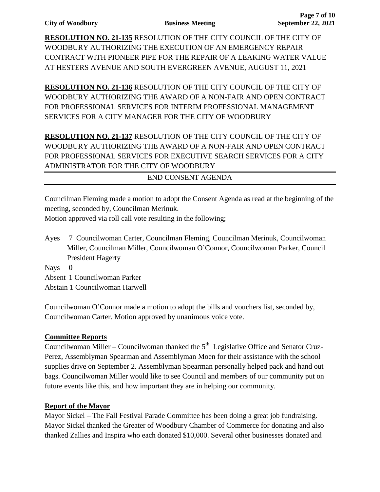**RESOLUTION NO. 21-135** RESOLUTION OF THE CITY COUNCIL OF THE CITY OF WOODBURY AUTHORIZING THE EXECUTION OF AN EMERGENCY REPAIR CONTRACT WITH PIONEER PIPE FOR THE REPAIR OF A LEAKING WATER VALUE AT HESTERS AVENUE AND SOUTH EVERGREEN AVENUE, AUGUST 11, 2021

**RESOLUTION NO. 21-136** RESOLUTION OF THE CITY COUNCIL OF THE CITY OF WOODBURY AUTHORIZING THE AWARD OF A NON-FAIR AND OPEN CONTRACT FOR PROFESSIONAL SERVICES FOR INTERIM PROFESSIONAL MANAGEMENT SERVICES FOR A CITY MANAGER FOR THE CITY OF WOODBURY

**RESOLUTION NO. 21-137** RESOLUTION OF THE CITY COUNCIL OF THE CITY OF WOODBURY AUTHORIZING THE AWARD OF A NON-FAIR AND OPEN CONTRACT FOR PROFESSIONAL SERVICES FOR EXECUTIVE SEARCH SERVICES FOR A CITY ADMINISTRATOR FOR THE CITY OF WOODBURY

END CONSENT AGENDA

Councilman Fleming made a motion to adopt the Consent Agenda as read at the beginning of the meeting, seconded by, Councilman Merinuk.

Motion approved via roll call vote resulting in the following;

Ayes 7 Councilwoman Carter, Councilman Fleming, Councilman Merinuk, Councilwoman Miller, Councilman Miller, Councilwoman O'Connor, Councilwoman Parker, Council President Hagerty

Nays 0

Absent 1 Councilwoman Parker

Abstain 1 Councilwoman Harwell

Councilwoman O'Connor made a motion to adopt the bills and vouchers list, seconded by, Councilwoman Carter. Motion approved by unanimous voice vote.

## **Committee Reports**

Councilwoman Miller – Councilwoman thanked the  $5<sup>th</sup>$  Legislative Office and Senator Cruz-Perez, Assemblyman Spearman and Assemblyman Moen for their assistance with the school supplies drive on September 2. Assemblyman Spearman personally helped pack and hand out bags. Councilwoman Miller would like to see Council and members of our community put on future events like this, and how important they are in helping our community.

### **Report of the Mayor**

Mayor Sickel – The Fall Festival Parade Committee has been doing a great job fundraising. Mayor Sickel thanked the Greater of Woodbury Chamber of Commerce for donating and also thanked Zallies and Inspira who each donated \$10,000. Several other businesses donated and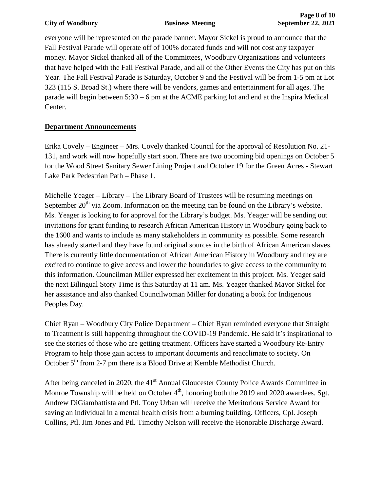everyone will be represented on the parade banner. Mayor Sickel is proud to announce that the Fall Festival Parade will operate off of 100% donated funds and will not cost any taxpayer money. Mayor Sickel thanked all of the Committees, Woodbury Organizations and volunteers that have helped with the Fall Festival Parade, and all of the Other Events the City has put on this Year. The Fall Festival Parade is Saturday, October 9 and the Festival will be from 1-5 pm at Lot 323 (115 S. Broad St.) where there will be vendors, games and entertainment for all ages. The parade will begin between 5:30 – 6 pm at the ACME parking lot and end at the Inspira Medical Center.

# **Department Announcements**

Erika Covely – Engineer – Mrs. Covely thanked Council for the approval of Resolution No. 21- 131, and work will now hopefully start soon. There are two upcoming bid openings on October 5 for the Wood Street Sanitary Sewer Lining Project and October 19 for the Green Acres - Stewart Lake Park Pedestrian Path – Phase 1.

Michelle Yeager – Library – The Library Board of Trustees will be resuming meetings on September  $20<sup>th</sup>$  via Zoom. Information on the meeting can be found on the Library's website. Ms. Yeager is looking to for approval for the Library's budget. Ms. Yeager will be sending out invitations for grant funding to research African American History in Woodbury going back to the 1600 and wants to include as many stakeholders in community as possible. Some research has already started and they have found original sources in the birth of African American slaves. There is currently little documentation of African American History in Woodbury and they are excited to continue to give access and lower the boundaries to give access to the community to this information. Councilman Miller expressed her excitement in this project. Ms. Yeager said the next Bilingual Story Time is this Saturday at 11 am. Ms. Yeager thanked Mayor Sickel for her assistance and also thanked Councilwoman Miller for donating a book for Indigenous Peoples Day.

Chief Ryan – Woodbury City Police Department – Chief Ryan reminded everyone that Straight to Treatment is still happening throughout the COVID-19 Pandemic. He said it's inspirational to see the stories of those who are getting treatment. Officers have started a Woodbury Re-Entry Program to help those gain access to important documents and reacclimate to society. On October  $5<sup>th</sup>$  from 2-7 pm there is a Blood Drive at Kemble Methodist Church.

After being canceled in 2020, the  $41<sup>st</sup>$  Annual Gloucester County Police Awards Committee in Monroe Township will be held on October  $4<sup>th</sup>$ , honoring both the 2019 and 2020 awardees. Sgt. Andrew DiGiambattista and Ptl. Tony Urban will receive the Meritorious Service Award for saving an individual in a mental health crisis from a burning building. Officers, Cpl. Joseph Collins, Ptl. Jim Jones and Ptl. Timothy Nelson will receive the Honorable Discharge Award.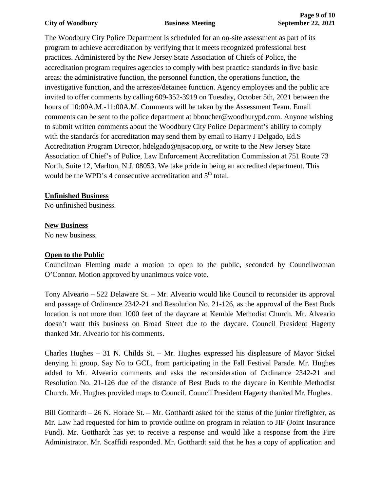### **City of Woodbury Business Meeting September 22, 2021**

The Woodbury City Police Department is scheduled for an on-site assessment as part of its program to achieve accreditation by verifying that it meets recognized professional best practices. Administered by the New Jersey State Association of Chiefs of Police, the accreditation program requires agencies to comply with best practice standards in five basic areas: the administrative function, the personnel function, the operations function, the investigative function, and the arrestee/detainee function. Agency employees and the public are invited to offer comments by calling 609-352-3919 on Tuesday, October 5th, 2021 between the hours of 10:00A.M.-11:00A.M. Comments will be taken by the Assessment Team. Email comments can be sent to the police department at bboucher@woodburypd.com. Anyone wishing to submit written comments about the Woodbury City Police Department's ability to comply with the standards for accreditation may send them by email to Harry J Delgado, Ed.S Accreditation Program Director, hdelgado@njsacop.org, or write to the New Jersey State Association of Chief's of Police, Law Enforcement Accreditation Commission at 751 Route 73 North, Suite 12, Marlton, N.J. 08053. We take pride in being an accredited department. This would be the WPD's 4 consecutive accreditation and 5<sup>th</sup> total.

## **Unfinished Business**

No unfinished business.

### **New Business**

No new business.

### **Open to the Public**

Councilman Fleming made a motion to open to the public, seconded by Councilwoman O'Connor. Motion approved by unanimous voice vote.

Tony Alveario – 522 Delaware St. – Mr. Alveario would like Council to reconsider its approval and passage of Ordinance 2342-21 and Resolution No. 21-126, as the approval of the Best Buds location is not more than 1000 feet of the daycare at Kemble Methodist Church. Mr. Alveario doesn't want this business on Broad Street due to the daycare. Council President Hagerty thanked Mr. Alveario for his comments.

Charles Hughes – 31 N. Childs St. – Mr. Hughes expressed his displeasure of Mayor Sickel denying hi group, Say No to GCL, from participating in the Fall Festival Parade. Mr. Hughes added to Mr. Alveario comments and asks the reconsideration of Ordinance 2342-21 and Resolution No. 21-126 due of the distance of Best Buds to the daycare in Kemble Methodist Church. Mr. Hughes provided maps to Council. Council President Hagerty thanked Mr. Hughes.

Bill Gotthardt  $-26$  N. Horace St.  $-$  Mr. Gotthardt asked for the status of the junior firefighter, as Mr. Law had requested for him to provide outline on program in relation to JIF (Joint Insurance Fund). Mr. Gotthardt has yet to receive a response and would like a response from the Fire Administrator. Mr. Scaffidi responded. Mr. Gotthardt said that he has a copy of application and